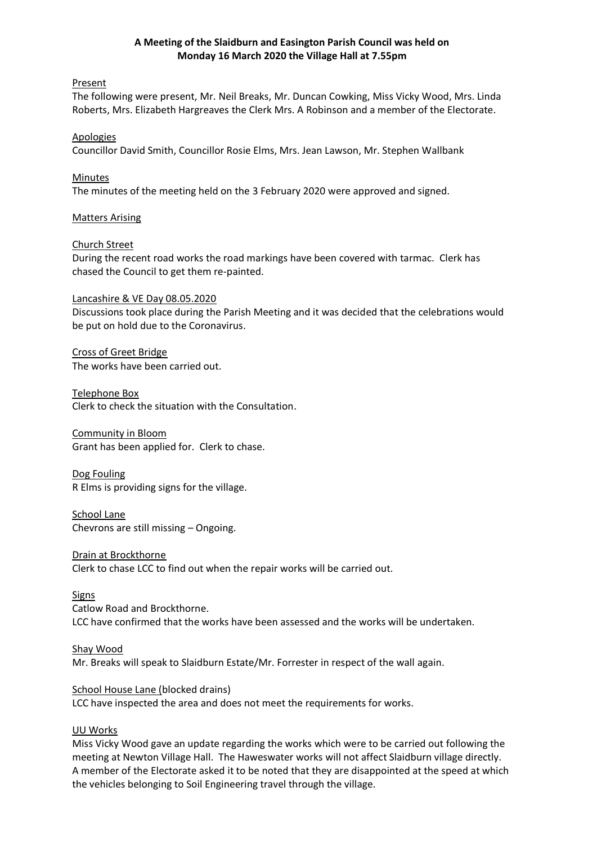### **A Meeting of the Slaidburn and Easington Parish Council was held on Monday 16 March 2020 the Village Hall at 7.55pm**

### Present

The following were present, Mr. Neil Breaks, Mr. Duncan Cowking, Miss Vicky Wood, Mrs. Linda Roberts, Mrs. Elizabeth Hargreaves the Clerk Mrs. A Robinson and a member of the Electorate.

### Apologies

Councillor David Smith, Councillor Rosie Elms, Mrs. Jean Lawson, Mr. Stephen Wallbank

### Minutes

The minutes of the meeting held on the 3 February 2020 were approved and signed.

#### Matters Arising

#### Church Street

During the recent road works the road markings have been covered with tarmac. Clerk has chased the Council to get them re-painted.

#### Lancashire & VE Day 08.05.2020

Discussions took place during the Parish Meeting and it was decided that the celebrations would be put on hold due to the Coronavirus.

Cross of Greet Bridge The works have been carried out.

Telephone Box Clerk to check the situation with the Consultation.

Community in Bloom Grant has been applied for. Clerk to chase.

Dog Fouling R Elms is providing signs for the village.

School Lane Chevrons are still missing – Ongoing.

Drain at Brockthorne Clerk to chase LCC to find out when the repair works will be carried out.

#### **Signs**

Catlow Road and Brockthorne. LCC have confirmed that the works have been assessed and the works will be undertaken.

#### Shay Wood

Mr. Breaks will speak to Slaidburn Estate/Mr. Forrester in respect of the wall again.

#### School House Lane (blocked drains)

LCC have inspected the area and does not meet the requirements for works.

### UU Works

Miss Vicky Wood gave an update regarding the works which were to be carried out following the meeting at Newton Village Hall. The Haweswater works will not affect Slaidburn village directly. A member of the Electorate asked it to be noted that they are disappointed at the speed at which the vehicles belonging to Soil Engineering travel through the village.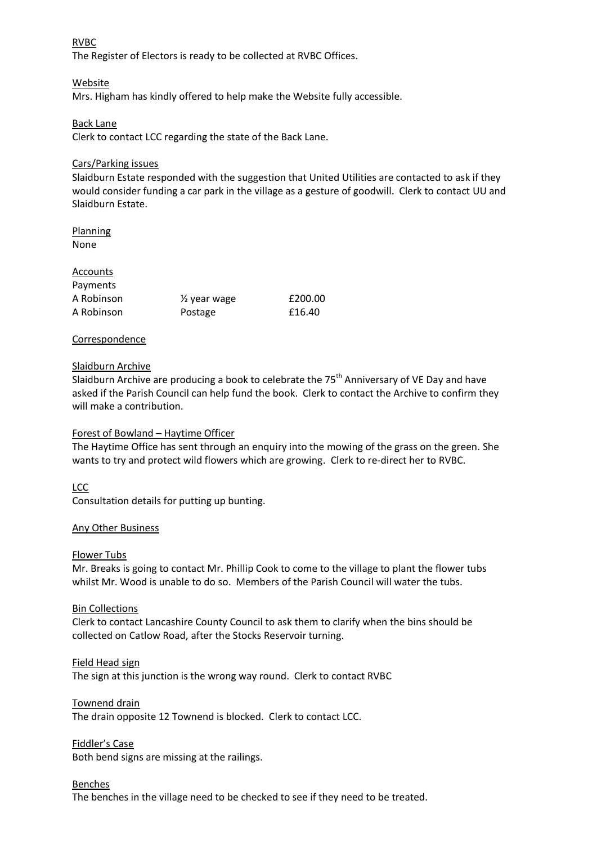### RVBC

The Register of Electors is ready to be collected at RVBC Offices.

# Website

Mrs. Higham has kindly offered to help make the Website fully accessible.

# Back Lane

Clerk to contact LCC regarding the state of the Back Lane.

## Cars/Parking issues

Slaidburn Estate responded with the suggestion that United Utilities are contacted to ask if they would consider funding a car park in the village as a gesture of goodwill. Clerk to contact UU and Slaidburn Estate.

### **Planning** None

| Accounts   |                         |         |
|------------|-------------------------|---------|
| Payments   |                         |         |
| A Robinson | $\frac{1}{2}$ year wage | £200.00 |
| A Robinson | Postage                 | £16.40  |

# Correspondence

# Slaidburn Archive

Slaidburn Archive are producing a book to celebrate the  $75<sup>th</sup>$  Anniversary of VE Day and have asked if the Parish Council can help fund the book. Clerk to contact the Archive to confirm they will make a contribution.

### Forest of Bowland – Haytime Officer

The Haytime Office has sent through an enquiry into the mowing of the grass on the green. She wants to try and protect wild flowers which are growing. Clerk to re-direct her to RVBC.

### LCC

Consultation details for putting up bunting.

### Any Other Business

### Flower Tubs

Mr. Breaks is going to contact Mr. Phillip Cook to come to the village to plant the flower tubs whilst Mr. Wood is unable to do so. Members of the Parish Council will water the tubs.

### Bin Collections

Clerk to contact Lancashire County Council to ask them to clarify when the bins should be collected on Catlow Road, after the Stocks Reservoir turning.

### Field Head sign

The sign at this junction is the wrong way round. Clerk to contact RVBC

### Townend drain

The drain opposite 12 Townend is blocked. Clerk to contact LCC.

Fiddler's Case

Both bend signs are missing at the railings.

### Benches

The benches in the village need to be checked to see if they need to be treated.